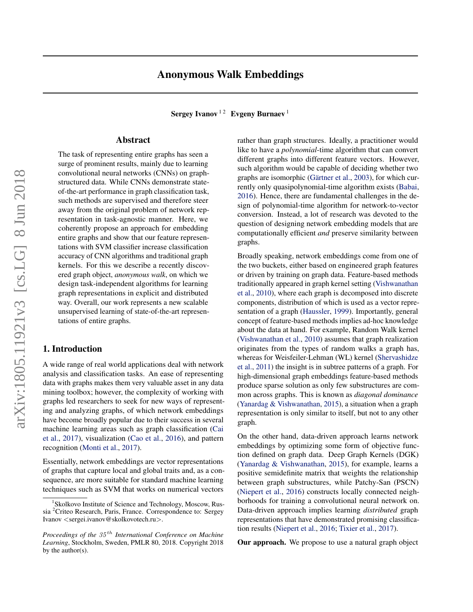Sergey Ivanov<sup>12</sup> Evgeny Burnaev<sup>1</sup>

# Abstract

The task of representing entire graphs has seen a surge of prominent results, mainly due to learning convolutional neural networks (CNNs) on graphstructured data. While CNNs demonstrate stateof-the-art performance in graph classification task, such methods are supervised and therefore steer away from the original problem of network representation in task-agnostic manner. Here, we coherently propose an approach for embedding entire graphs and show that our feature representations with SVM classifier increase classification accuracy of CNN algorithms and traditional graph kernels. For this we describe a recently discovered graph object, *anonymous walk*, on which we design task-independent algorithms for learning graph representations in explicit and distributed way. Overall, our work represents a new scalable unsupervised learning of state-of-the-art representations of entire graphs.

# 1. Introduction

A wide range of real world applications deal with network analysis and classification tasks. An ease of representing data with graphs makes them very valuable asset in any data mining toolbox; however, the complexity of working with graphs led researchers to seek for new ways of representing and analyzing graphs, of which network embeddings have become broadly popular due to their success in several machine learning areas such as graph classification [\(Cai](#page-8-0) [et al.,](#page-8-0) [2017\)](#page-8-0), visualization [\(Cao et al.,](#page-8-0) [2016\)](#page-8-0), and pattern recognition [\(Monti et al.,](#page-8-0) [2017\)](#page-8-0).

Essentially, network embeddings are vector representations of graphs that capture local and global traits and, as a consequence, are more suitable for standard machine learning techniques such as SVM that works on numerical vectors

rather than graph structures. Ideally, a practitioner would like to have a *polynomial*-time algorithm that can convert different graphs into different feature vectors. However, such algorithm would be capable of deciding whether two graphs are isomorphic (Gärtner et al., [2003\)](#page-8-0), for which currently only quasipolynomial-time algorithm exists [\(Babai,](#page-8-0) [2016\)](#page-8-0). Hence, there are fundamental challenges in the design of polynomial-time algorithm for network-to-vector conversion. Instead, a lot of research was devoted to the question of designing network embedding models that are computationally efficient *and* preserve similarity between graphs.

Broadly speaking, network embeddings come from one of the two buckets, either based on engineered graph features or driven by training on graph data. Feature-based methods traditionally appeared in graph kernel setting [\(Vishwanathan](#page-9-0) [et al.,](#page-9-0) [2010\)](#page-9-0), where each graph is decomposed into discrete components, distribution of which is used as a vector representation of a graph [\(Haussler,](#page-8-0) [1999\)](#page-8-0). Importantly, general concept of feature-based methods implies ad-hoc knowledge about the data at hand. For example, Random Walk kernel [\(Vishwanathan et al.,](#page-9-0) [2010\)](#page-9-0) assumes that graph realization originates from the types of random walks a graph has, whereas for Weisfeiler-Lehman (WL) kernel [\(Shervashidze](#page-9-0) [et al.,](#page-9-0) [2011\)](#page-9-0) the insight is in subtree patterns of a graph. For high-dimensional graph embeddings feature-based methods produce sparse solution as only few substructures are common across graphs. This is known as *diagonal dominance* [\(Yanardag & Vishwanathan,](#page-9-0) [2015\)](#page-9-0), a situation when a graph representation is only similar to itself, but not to any other graph.

On the other hand, data-driven approach learns network embeddings by optimizing some form of objective function defined on graph data. Deep Graph Kernels (DGK) [\(Yanardag & Vishwanathan,](#page-9-0) [2015\)](#page-9-0), for example, learns a positive semidefinite matrix that weights the relationship between graph substructures, while Patchy-San (PSCN) [\(Niepert et al.,](#page-8-0) [2016\)](#page-8-0) constructs locally connected neighborhoods for training a convolutional neural network on. Data-driven approach implies learning *distributed* graph representations that have demonstrated promising classification results [\(Niepert et al.,](#page-8-0) [2016;](#page-8-0) [Tixier et al.,](#page-9-0) [2017\)](#page-9-0).

Our approach. We propose to use a natural graph object

<sup>&</sup>lt;sup>1</sup> Skolkovo Institute of Science and Technology, Moscow, Russia <sup>2</sup>Criteo Research, Paris, France. Correspondence to: Sergey Ivanov <sergei.ivanov@skolkovotech.ru>.

*Proceedings of the*  $35<sup>th</sup>$  *International Conference on Machine Learning*, Stockholm, Sweden, PMLR 80, 2018. Copyright 2018 by the author(s).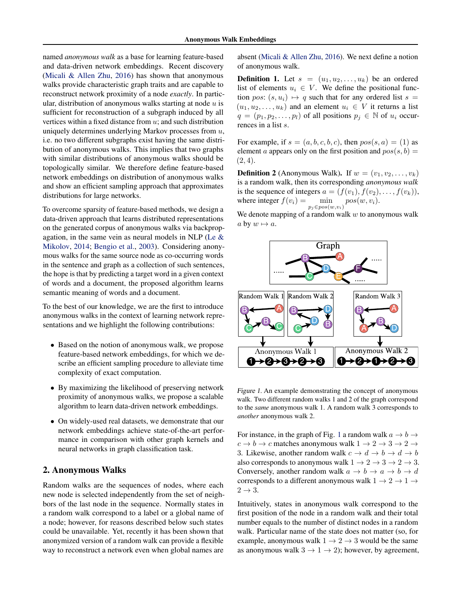<span id="page-1-0"></span>named *anonymous walk* as a base for learning feature-based and data-driven network embeddings. Recent discovery [\(Micali & Allen Zhu,](#page-8-0) [2016\)](#page-8-0) has shown that anonymous walks provide characteristic graph traits and are capable to reconstruct network proximity of a node *exactly*. In particular, distribution of anonymous walks starting at node  $u$  is sufficient for reconstruction of a subgraph induced by all vertices within a fixed distance from  $u$ ; and such distribution uniquely determines underlying Markov processes from  $u$ , i.e. no two different subgraphs exist having the same distribution of anonymous walks. This implies that two graphs with similar distributions of anonymous walks should be topologically similar. We therefore define feature-based network embeddings on distribution of anonymous walks and show an efficient sampling approach that approximates distributions for large networks.

To overcome sparsity of feature-based methods, we design a data-driven approach that learns distributed representations on the generated corpus of anonymous walks via backpropagation, in the same vein as neural models in NLP [\(Le &](#page-8-0) [Mikolov,](#page-8-0) [2014;](#page-8-0) [Bengio et al.,](#page-8-0) [2003\)](#page-8-0). Considering anonymous walks for the same source node as co-occurring words in the sentence and graph as a collection of such sentences, the hope is that by predicting a target word in a given context of words and a document, the proposed algorithm learns semantic meaning of words and a document.

To the best of our knowledge, we are the first to introduce anonymous walks in the context of learning network representations and we highlight the following contributions:

- Based on the notion of anonymous walk, we propose feature-based network embeddings, for which we describe an efficient sampling procedure to alleviate time complexity of exact computation.
- By maximizing the likelihood of preserving network proximity of anonymous walks, we propose a scalable algorithm to learn data-driven network embeddings.
- On widely-used real datasets, we demonstrate that our network embeddings achieve state-of-the-art performance in comparison with other graph kernels and neural networks in graph classification task.

## 2. Anonymous Walks

Random walks are the sequences of nodes, where each new node is selected independently from the set of neighbors of the last node in the sequence. Normally states in a random walk correspond to a label or a global name of a node; however, for reasons described below such states could be unavailable. Yet, recently it has been shown that anonymized version of a random walk can provide a flexible way to reconstruct a network even when global names are

absent [\(Micali & Allen Zhu,](#page-8-0) [2016\)](#page-8-0). We next define a notion of anonymous walk.

**Definition 1.** Let  $s = (u_1, u_2, \dots, u_k)$  be an ordered list of elements  $u_i \in V$ . We define the positional function pos:  $(s, u_i) \mapsto q$  such that for any ordered list s =  $(u_1, u_2, \ldots, u_k)$  and an element  $u_i \in V$  it returns a list  $q = (p_1, p_2, \ldots, p_l)$  of all positions  $p_j \in \mathbb{N}$  of  $u_i$  occurrences in a list s.

For example, if  $s = (a, b, c, b, c)$ , then  $pos(s, a) = (1)$  as element a appears only on the first position and  $pos(s, b)$  =  $(2, 4).$ 

**Definition 2** (Anonymous Walk). If  $w = (v_1, v_2, \ldots, v_k)$ is a random walk, then its corresponding *anonymous walk* is the sequence of integers  $a = (f(v_1), f(v_2), \dots, f(v_k)),$ where integer  $f(v_i) =$  $\min_{p_j \in pos(w,v_i)} pos(w,v_i).$ 

We denote mapping of a random walk  $w$  to anonymous walk a by  $w \mapsto a$ .



Figure 1. An example demonstrating the concept of anonymous walk. Two different random walks 1 and 2 of the graph correspond to the *same* anonymous walk 1. A random walk 3 corresponds to *another* anonymous walk 2.

For instance, in the graph of Fig. 1 a random walk  $a \rightarrow b \rightarrow$  $c \to b \to c$  matches anonymous walk  $1 \to 2 \to 3 \to 2 \to$ 3. Likewise, another random walk  $c \to d \to b \to d \to b$ also corresponds to anonymous walk  $1 \rightarrow 2 \rightarrow 3 \rightarrow 2 \rightarrow 3$ . Conversely, another random walk  $a \rightarrow b \rightarrow a \rightarrow b \rightarrow d$ corresponds to a different anonymous walk  $1 \rightarrow 2 \rightarrow 1 \rightarrow$  $2 \rightarrow 3$ .

Intuitively, states in anonymous walk correspond to the first position of the node in a random walk and their total number equals to the number of distinct nodes in a random walk. Particular name of the state does not matter (so, for example, anonymous walk  $1 \rightarrow 2 \rightarrow 3$  would be the same as anonymous walk  $3 \rightarrow 1 \rightarrow 2$ ); however, by agreement,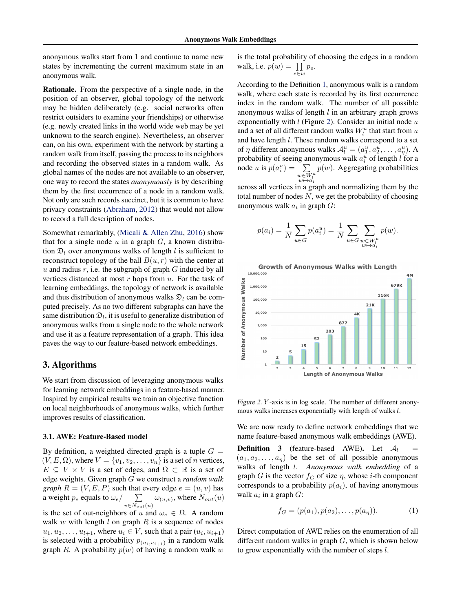<span id="page-2-0"></span>anonymous walks start from 1 and continue to name new states by incrementing the current maximum state in an anonymous walk.

Rationale. From the perspective of a single node, in the position of an observer, global topology of the network may be hidden deliberately (e.g. social networks often restrict outsiders to examine your friendships) or otherwise (e.g. newly created links in the world wide web may be yet unknown to the search engine). Nevertheless, an observer can, on his own, experiment with the network by starting a random walk from itself, passing the process to its neighbors and recording the observed states in a random walk. As global names of the nodes are not available to an observer, one way to record the states *anonymously* is by describing them by the first occurrence of a node in a random walk. Not only are such records succinct, but it is common to have privacy constraints [\(Abraham,](#page-8-0) [2012\)](#page-8-0) that would not allow to record a full description of nodes.

Somewhat remarkably, [\(Micali & Allen Zhu,](#page-8-0) [2016\)](#page-8-0) show that for a single node  $u$  in a graph  $G$ , a known distribution  $\mathfrak{D}_l$  over anonymous walks of length l is sufficient to reconstruct topology of the ball  $B(u, r)$  with the center at u and radius r, i.e. the subgraph of graph  $G$  induced by all vertices distanced at most  $r$  hops from  $u$ . For the task of learning embeddings, the topology of network is available and thus distribution of anonymous walks  $\mathfrak{D}_l$  can be computed precisely. As no two different subgraphs can have the same distribution  $\mathfrak{D}_l$ , it is useful to generalize distribution of anonymous walks from a single node to the whole network and use it as a feature representation of a graph. This idea paves the way to our feature-based network embeddings.

## 3. Algorithms

We start from discussion of leveraging anonymous walks for learning network embeddings in a feature-based manner. Inspired by empirical results we train an objective function on local neighborhoods of anonymous walks, which further improves results of classification.

#### 3.1. AWE: Feature-Based model

By definition, a weighted directed graph is a tuple  $G =$  $(V, E, \Omega)$ , where  $V = \{v_1, v_2, \ldots, v_n\}$  is a set of *n* vertices,  $E \subseteq V \times V$  is a set of edges, and  $\Omega \subset \mathbb{R}$  is a set of edge weights. Given graph G we construct a *random walk graph*  $R = (V, E, P)$  such that every edge  $e = (u, v)$  has a weight  $p_e$  equals to  $\omega_e / \sum$  $v \in N_{out}(u)$  $\omega_{(u,v)}$ , where  $N_{out}(u)$ is the set of out-neighbors of u and  $\omega_e \in \Omega$ . A random

walk  $w$  with length  $l$  on graph  $R$  is a sequence of nodes  $u_1, u_2, \ldots, u_{l+1}$ , where  $u_i \in V$ , such that a pair  $(u_i, u_{i+1})$ is selected with a probability  $p_{(u_i, u_{i+1})}$  in a random walk graph R. A probability  $p(w)$  of having a random walk w

is the total probability of choosing the edges in a random walk, i.e.  $p(w) = \prod_{e \in w} p_e$ .

According to the Definition [1,](#page-1-0) anonymous walk is a random walk, where each state is recorded by its first occurrence index in the random walk. The number of all possible anonymous walks of length  $l$  in an arbitrary graph grows exponentially with  $l$  (Figure 2). Consider an initial node  $u$ and a set of all different random walks  $W_l^u$  that start from  $u$ and have length l. These random walks correspond to a set of  $\eta$  different anonymous walks  $\mathcal{A}_l^u = (a_1^u, a_2^u, \dots, a_\eta^u)$ . A probability of seeing anonymous walk  $a_i^u$  of length l for a node *u* is  $p(a_i^u) = \sum$  $w \overline{\in} W^u_l \ w \mapsto a_i$  $p(w)$ . Aggregating probabilities

across all vertices in a graph and normalizing them by the total number of nodes  $N$ , we get the probability of choosing anonymous walk  $a_i$  in graph  $G$ :

$$
p(a_i) = \frac{1}{N} \sum_{u \in G} p(a_i^u) = \frac{1}{N} \sum_{u \in G} \sum_{\substack{w \in W_i^u \ w \mapsto a_i}} p(w).
$$



Figure 2. Y -axis is in log scale. The number of different anonymous walks increases exponentially with length of walks l.

We are now ready to define network embeddings that we name feature-based anonymous walk embeddings (AWE).

**Definition 3** (feature-based AWE). Let  $\mathcal{A}_l$  $(a_1, a_2, \ldots, a_n)$  be the set of all possible anonymous walks of length l. *Anonymous walk embedding* of a graph G is the vector  $f_G$  of size  $\eta$ , whose *i*-th component corresponds to a probability  $p(a_i)$ , of having anonymous walk  $a_i$  in a graph  $G$ :

$$
f_G = (p(a_1), p(a_2), \dots, p(a_\eta)).
$$
 (1)

Direct computation of AWE relies on the enumeration of all different random walks in graph  $G$ , which is shown below to grow exponentially with the number of steps l.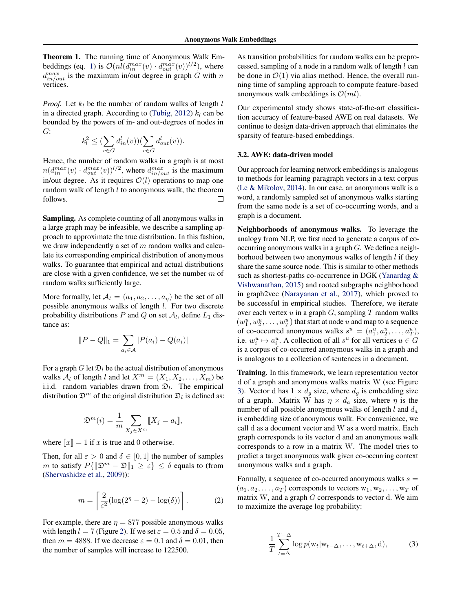<span id="page-3-0"></span>Theorem 1. The running time of Anonymous Walk Em-beddings (eq. [1\)](#page-2-0) is  $\mathcal{O}(nl(d_{in}^{max}(v) \cdot d_{out}^{max}(v))^{l/2})$ , where  $d_{in/out}^{max}$  is the maximum in/out degree in graph G with n vertices.

*Proof.* Let  $k_l$  be the number of random walks of length  $l$ in a directed graph. According to [\(Tubig,](#page-9-0) [2012\)](#page-9-0)  $k_l$  can be bounded by the powers of in- and out-degrees of nodes in G:

$$
k_l^2 \leq (\sum_{v \in G} d_{in}^l(v))(\sum_{v \in G} d_{out}^l(v)).
$$

Hence, the number of random walks in a graph is at most  $n(d_{in}^{max}(v) \cdot d_{out}^{max}(v))^{l/2}$ , where  $d_{in/out}^{max}$  is the maximum in/out degree. As it requires  $\mathcal{O}(l)$  operations to map one random walk of length  $l$  to anonymous walk, the theorem follows. П

Sampling. As complete counting of all anonymous walks in a large graph may be infeasible, we describe a sampling approach to approximate the true distribution. In this fashion, we draw independently a set of  $m$  random walks and calculate its corresponding empirical distribution of anonymous walks. To guarantee that empirical and actual distributions are close with a given confidence, we set the number  $m$  of random walks sufficiently large.

More formally, let  $A_l = (a_1, a_2, \dots, a_n)$  be the set of all possible anonymous walks of length l. For two discrete probability distributions P and Q on set  $A_l$ , define  $L_1$  distance as:

$$
||P - Q||_1 = \sum_{a_i \in A} |P(a_i) - Q(a_i)|
$$

For a graph G let  $\mathfrak{D}_l$  be the actual distribution of anonymous walks  $A_l$  of length l and let  $X^m = (X_1, X_2, \ldots, X_m)$  be i.i.d. random variables drawn from  $\mathfrak{D}_l$ . The empirical distribution  $\mathfrak{D}^m$  of the original distribution  $\mathfrak{D}_l$  is defined as:

$$
\mathfrak{D}^m(i) = \frac{1}{m} \sum_{X_j \in X^m} [X_j = a_i],
$$

where  $\llbracket x \rrbracket = 1$  if x is true and 0 otherwise.

Then, for all  $\varepsilon > 0$  and  $\delta \in [0, 1]$  the number of samples m to satisfy  $P\{\|\mathfrak{D}^m - \mathfrak{D}\|_1 \geq \varepsilon\} \leq \delta$  equals to (from [\(Shervashidze et al.,](#page-8-0) [2009\)](#page-8-0)):

$$
m = \left[\frac{2}{\varepsilon^2} (\log(2^n - 2) - \log(\delta))\right].
$$
 (2)

For example, there are  $\eta = 877$  possible anonymous walks with length  $l = 7$  (Figure [2\)](#page-2-0). If we set  $\varepsilon = 0.5$  and  $\delta = 0.05$ , then  $m = 4888$ . If we decrease  $\varepsilon = 0.1$  and  $\delta = 0.01$ , then the number of samples will increase to 122500.

As transition probabilities for random walks can be preprocessed, sampling of a node in a random walk of length l can be done in  $\mathcal{O}(1)$  via alias method. Hence, the overall running time of sampling approach to compute feature-based anonymous walk embeddings is  $\mathcal{O}(ml)$ .

Our experimental study shows state-of-the-art classification accuracy of feature-based AWE on real datasets. We continue to design data-driven approach that eliminates the sparsity of feature-based embeddings.

#### 3.2. AWE: data-driven model

Our approach for learning network embeddings is analogous to methods for learning paragraph vectors in a text corpus [\(Le & Mikolov,](#page-8-0) [2014\)](#page-8-0). In our case, an anonymous walk is a word, a randomly sampled set of anonymous walks starting from the same node is a set of co-occurring words, and a graph is a document.

Neighborhoods of anonymous walks. To leverage the analogy from NLP, we first need to generate a corpus of cooccurring anonymous walks in a graph G. We define a neighborhood between two anonymous walks of length l if they share the same source node. This is similar to other methods such as shortest-paths co-occurrence in DGK [\(Yanardag &](#page-9-0) [Vishwanathan,](#page-9-0) [2015\)](#page-9-0) and rooted subgraphs neighborhood in graph2vec [\(Narayanan et al.,](#page-8-0) [2017\)](#page-8-0), which proved to be successful in empirical studies. Therefore, we iterate over each vertex  $u$  in a graph  $G$ , sampling  $T$  random walks  $(w_1^u, w_2^u, \dots, w_T^u)$  that start at node u and map to a sequence of co-occurred anonymous walks  $s^u = (a_1^u, a_2^u, \dots, a_T^u)$ , i.e.  $w_i^u \mapsto a_i^u$ . A collection of all  $s^u$  for all vertices  $u \in G$ is a corpus of co-occurred anonymous walks in a graph and is analogous to a collection of sentences in a document.

Training. In this framework, we learn representation vector d of a graph and anonymous walks matrix W (see Figure [3\)](#page-4-0). Vector d has  $1 \times d_g$  size, where  $d_g$  is embedding size of a graph. Matrix W has  $\eta \times d_a$  size, where  $\eta$  is the number of all possible anonymous walks of length l and  $d_a$ is embedding size of anonymous walk. For convenience, we call d as a document vector and W as a word matrix. Each graph corresponds to its vector d and an anonymous walk corresponds to a row in a matrix W. The model tries to predict a target anonymous walk given co-occurring context anonymous walks and a graph.

Formally, a sequence of co-occurred anonymous walks  $s =$  $(a_1, a_2, \ldots, a_T)$  corresponds to vectors  $w_1, w_2, \ldots, w_T$  of matrix  $W$ , and a graph  $G$  corresponds to vector  $d$ . We aim to maximize the average log probability:

$$
\frac{1}{T} \sum_{t=\Delta}^{T-\Delta} \log p(\mathbf{w}_t | \mathbf{w}_{t-\Delta}, \dots, \mathbf{w}_{t+\Delta}, \mathbf{d}), \tag{3}
$$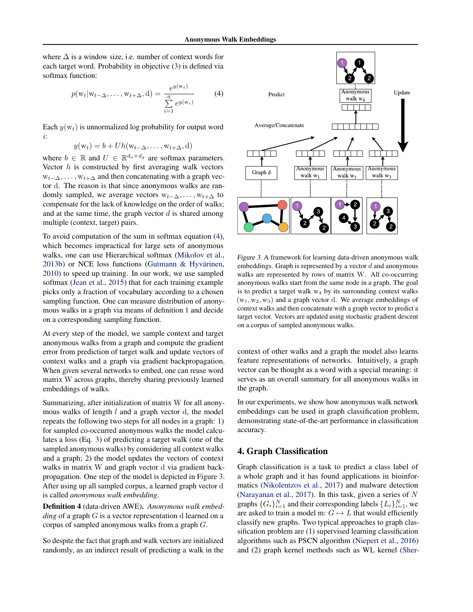<span id="page-4-0"></span>where  $\Delta$  is a window size, i.e. number of context words for each target word. Probability in objective [\(3\)](#page-3-0) is defined via softmax function:

$$
p(\mathbf{w}_t | \mathbf{w}_{t-\Delta}, \dots, \mathbf{w}_{t+\Delta}, \mathbf{d}) = \frac{e^{y(\mathbf{w}_t)}}{\sum_{i=1}^{\eta} e^{y(\mathbf{w}_i)}} \tag{4}
$$

Each  $y(w_t)$  is unnormalized log probability for output word i:

$$
y(\mathbf{w}_t) = b + Uh(\mathbf{w}_{t-\Delta}, \dots, \mathbf{w}_{t+\Delta}, \mathbf{d})
$$

where  $b \in \mathbb{R}$  and  $U \in \mathbb{R}^{d_a+d_g}$  are softmax parameters. Vector  $h$  is constructed by first averaging walk vectors  $w_{t-\Delta}, \ldots, w_{t+\Delta}$  and then concatenating with a graph vector d. The reason is that since anonymous walks are randomly sampled, we average vectors  $w_{t-\Delta}, \ldots, w_{t+\Delta}$  to compensate for the lack of knowledge on the order of walks; and at the same time, the graph vector  $d$  is shared among multiple (context, target) pairs.

To avoid computation of the sum in softmax equation (4), which becomes impractical for large sets of anonymous walks, one can use Hierarchical softmax [\(Mikolov et al.,](#page-8-0) [2013b\)](#page-8-0) or NCE loss functions (Gutmann & Hyvärinen, [2010\)](#page-8-0) to speed up training. In our work, we use sampled softmax [\(Jean et al.,](#page-8-0) [2015\)](#page-8-0) that for each training example picks only a fraction of vocabulary according to a chosen sampling function. One can measure distribution of anonymous walks in a graph via means of definition [1](#page-2-0) and decide on a corresponding sampling function.

At every step of the model, we sample context and target anonymous walks from a graph and compute the gradient error from prediction of target walk and update vectors of context walks and a graph via gradient backpropagation. When given several networks to embed, one can reuse word matrix W across graphs, thereby sharing previously learned embeddings of walks.

Summarizing, after initialization of matrix W for all anonymous walks of length  $l$  and a graph vector  $d$ , the model repeats the following two steps for all nodes in a graph: 1) for sampled co-occurred anonymous walks the model calculates a loss (Eq. [3\)](#page-3-0) of predicting a target walk (one of the sampled anonymous walks) by considering all context walks and a graph; 2) the model updates the vectors of context walks in matrix W and graph vector d via gradient backpropagation. One step of the model is depicted in Figure 3. After using up all sampled corpus, a learned graph vector d is called *anonymous walk embedding*.

Definition 4 (data-driven AWE). *Anonymous walk embedding* of a graph G is a vector representation d learned on a corpus of sampled anonymous walks from a graph G.

So despite the fact that graph and walk vectors are initialized randomly, as an indirect result of predicting a walk in the



Figure 3. A framework for learning data-driven anonymous walk embeddings. Graph is represented by a vector  $d$  and anonymous walks are represented by rows of matrix W. All co-occurring anonymous walks start from the same node in a graph. The goal is to predict a target walk  $w_4$  by its surrounding context walks  $(w_1, w_2, w_3)$  and a graph vector d. We average embeddings of context walks and then concatenate with a graph vector to predict a target vector. Vectors are updated using stochastic gradient descent on a corpus of sampled anonymous walks.

context of other walks and a graph the model also learns feature representations of networks. Intuitively, a graph vector can be thought as a word with a special meaning: it serves as an overall summary for all anonymous walks in the graph.

In our experiments, we show how anonymous walk network embeddings can be used in graph classification problem, demonstrating state-of-the-art performance in classification accuracy.

# 4. Graph Classification

Graph classification is a task to predict a class label of a whole graph and it has found applications in bioinformatics [\(Nikolentzos et al.,](#page-8-0) [2017\)](#page-8-0) and malware detection [\(Narayanan et al.,](#page-8-0) [2017\)](#page-8-0). In this task, given a series of N graphs  $\{G_i\}_{i=1}^N$  and their corresponding labels  $\{L_i\}_{i=1}^N$ , we are asked to train a model m:  $G \mapsto L$  that would efficiently classify new graphs. Two typical approaches to graph classification problem are (1) supervised learning classification algorithms such as PSCN algorithm [\(Niepert et al.,](#page-8-0) [2016\)](#page-8-0) [and \(2\) graph kernel methods such as WL kernel \(Sher-](#page-9-0)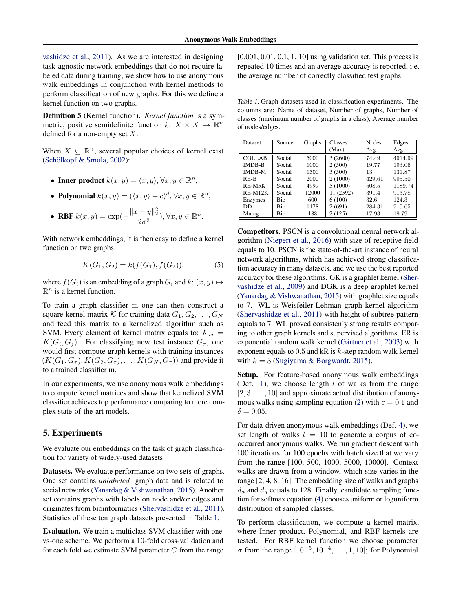[vashidze et al.,](#page-9-0) [2011\)](#page-9-0). As we are interested in designing task-agnostic network embeddings that do not require labeled data during training, we show how to use anonymous walk embeddings in conjunction with kernel methods to perform classification of new graphs. For this we define a kernel function on two graphs.

Definition 5 (Kernel function). *Kernel function* is a symmetric, positive semidefinite function  $k: X \times X \mapsto \mathbb{R}^n$ defined for a non-empty set  $X$ .

When  $X \subseteq \mathbb{R}^n$ , several popular choices of kernel exist (Schölkopf & Smola, [2002\)](#page-8-0):

- Inner product  $k(x, y) = \langle x, y \rangle, \forall x, y \in \mathbb{R}^n$ ,
- Polynomial  $k(x, y) = (\langle x, y \rangle + c)^d$ ,  $\forall x, y \in \mathbb{R}^n$ ,

• RBF 
$$
k(x, y) = \exp(-\frac{\|x - y\|_2^2}{2\sigma^2}), \forall x, y \in \mathbb{R}^n
$$
.

With network embeddings, it is then easy to define a kernel function on two graphs:

$$
K(G_1, G_2) = k(f(G_1), f(G_2)),
$$
\n(5)

where  $f(G_i)$  is an embedding of a graph  $G_i$  and  $k: (x, y) \mapsto$  $\mathbb{R}^n$  is a kernel function.

To train a graph classifier m one can then construct a square kernel matrix K for training data  $G_1, G_2, \ldots, G_N$ and feed this matrix to a kernelized algorithm such as SVM. Every element of kernel matrix equals to:  $\mathcal{K}_{ij} =$  $K(G_i, G_j)$ . For classifying new test instance  $G_{\tau}$ , one would first compute graph kernels with training instances  $(K(G_1, G_{\tau}), K(G_2, G_{\tau}), \ldots, K(G_N, G_{\tau}))$  and provide it to a trained classifier m.

In our experiments, we use anonymous walk embeddings to compute kernel matrices and show that kernelized SVM classifier achieves top performance comparing to more complex state-of-the-art models.

## 5. Experiments

We evaluate our embeddings on the task of graph classification for variety of widely-used datasets.

Datasets. We evaluate performance on two sets of graphs. One set contains *unlabeled* graph data and is related to social networks [\(Yanardag & Vishwanathan,](#page-9-0) [2015\)](#page-9-0). Another set contains graphs with labels on node and/or edges and originates from bioinformatics [\(Shervashidze et al.,](#page-9-0) [2011\)](#page-9-0). Statistics of these ten graph datasets presented in Table 1.

Evaluation. We train a multiclass SVM classifier with onevs-one scheme. We perform a 10-fold cross-validation and for each fold we estimate SVM parameter  $C$  from the range

[0.001, 0.01, 0.1, 1, 10] using validation set. This process is repeated 10 times and an average accuracy is reported, i.e. the average number of correctly classified test graphs.

Table 1. Graph datasets used in classification experiments. The columns are: Name of dataset, Number of graphs, Number of classes (maximum number of graphs in a class), Average number of nodes/edges.

| <b>Dataset</b> | Source | Graphs | Classes   | <b>Nodes</b> | Edges   |
|----------------|--------|--------|-----------|--------------|---------|
|                |        |        | (Max)     | Avg.         | Avg.    |
| <b>COLLAB</b>  | Social | 5000   | 3(2600)   | 74.49        | 4914.99 |
| <b>IMDB-B</b>  | Social | 1000   | 2(500)    | 19.77        | 193.06  |
| <b>IMDB-M</b>  | Social | 1500   | 3(500)    | 13           | 131.87  |
| $RE-B$         | Social | 2000   | 2(1000)   | 429.61       | 995.50  |
| $RE-M5K$       | Social | 4999   | 5(1000)   | 508.5        | 1189.74 |
| $RE-M12K$      | Social | 12000  | 11 (2592) | 391.4        | 913.78  |
| Enzymes        | Bio    | 600    | 6(100)    | 32.6         | 124.3   |
| DD             | Bio    | 1178   | 2(691)    | 284.31       | 715.65  |
| Mutag          | Bio    | 188    | 2(125)    | 17.93        | 19.79   |

Competitors. PSCN is a convolutional neural network algorithm [\(Niepert et al.,](#page-8-0) [2016\)](#page-8-0) with size of receptive field equals to 10. PSCN is the state-of-the-art instance of neural network algorithms, which has achieved strong classification accuracy in many datasets, and we use the best reported accuracy for these algorithms. GK is a graphlet kernel [\(Sher](#page-8-0)[vashidze et al.,](#page-8-0) [2009\)](#page-8-0) and DGK is a deep graphlet kernel [\(Yanardag & Vishwanathan,](#page-9-0) [2015\)](#page-9-0) with graphlet size equals to 7. WL is Weisfeiler-Lehman graph kernel algorithm [\(Shervashidze et al.,](#page-9-0) [2011\)](#page-9-0) with height of subtree pattern equals to 7. WL proved consistenly strong results comparing to other graph kernels and supervised algorithms. ER is exponential random walk kernel (Gärtner et al., [2003\)](#page-8-0) with exponent equals to  $0.5$  and kR is  $k$ -step random walk kernel with  $k = 3$  [\(Sugiyama & Borgwardt,](#page-9-0) [2015\)](#page-9-0).

Setup. For feature-based anonymous walk embeddings (Def. [1\)](#page-2-0), we choose length  $l$  of walks from the range  $[2, 3, \ldots, 10]$  and approximate actual distribution of anony-mous walks using sampling equation [\(2\)](#page-3-0) with  $\varepsilon = 0.1$  and  $\delta = 0.05$ .

For data-driven anonymous walk embeddings (Def. [4\)](#page-4-0), we set length of walks  $l = 10$  to generate a corpus of cooccurred anonymous walks. We run gradient descent with 100 iterations for 100 epochs with batch size that we vary from the range [100, 500, 1000, 5000, 10000]. Context walks are drawn from a window, which size varies in the range [2, 4, 8, 16]. The embedding size of walks and graphs  $d_a$  and  $d_g$  equals to 128. Finally, candidate sampling function for softmax equation [\(4\)](#page-4-0) chooses uniform or loguniform distribution of sampled classes.

To perform classification, we compute a kernel matrix, where Inner product, Polynomial, and RBF kernels are tested. For RBF kernel function we choose parameter  $\sigma$  from the range  $[10^{-5}, 10^{-4}, \ldots, 1, 10]$ ; for Polynomial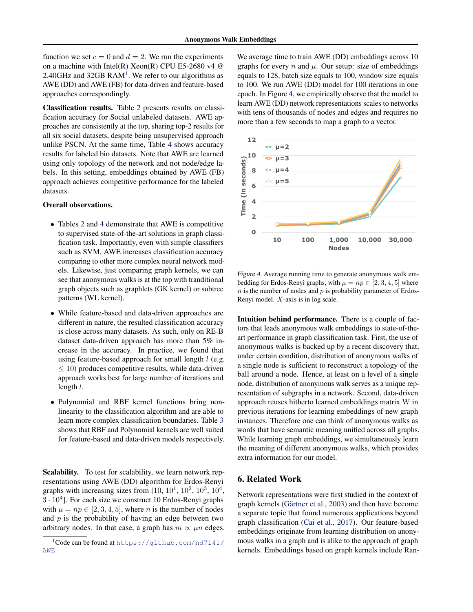function we set  $c = 0$  and  $d = 2$ . We run the experiments on a machine with Intel(R) Xeon(R) CPU E5-2680 v4 @ 2.40GHz and  $32GB$  RAM<sup>1</sup>. We refer to our algorithms as AWE (DD) and AWE (FB) for data-driven and feature-based approaches correspondingly.

Classification results. Table [2](#page-7-0) presents results on classification accuracy for Social unlabeled datasets. AWE approaches are consistently at the top, sharing top-2 results for all six social datasets, despite being unsupervised approach unlike PSCN. At the same time, Table [4](#page-7-0) shows accuracy results for labeled bio datasets. Note that AWE are learned using only topology of the network and not node/edge labels. In this setting, embeddings obtained by AWE (FB) approach achieves competitive performance for the labeled datasets.

### Overall observations.

- Tables [2](#page-7-0) and [4](#page-7-0) demonstrate that AWE is competitive to supervised state-of-the-art solutions in graph classification task. Importantly, even with simple classifiers such as SVM, AWE increases classification accuracy comparing to other more complex neural network models. Likewise, just comparing graph kernels, we can see that anonymous walks is at the top with tranditional graph objects such as graphlets (GK kernel) or subtree patterns (WL kernel).
- While feature-based and data-driven approaches are different in nature, the resulted classification accuracy is close across many datasets. As such, only on RE-B dataset data-driven approach has more than 5% increase in the accuracy. In practice, we found that using feature-based approach for small length  $l$  (e.g.  $\leq$  10) produces competitive results, while data-driven approach works best for large number of iterations and length l.
- Polynomial and RBF kernel functions bring nonlinearity to the classification algorithm and are able to learn more complex classification boundaries. Table [3](#page-7-0) shows that RBF and Polynomial kernels are well suited for feature-based and data-driven models respectively.

Scalability. To test for scalability, we learn network representations using AWE (DD) algorithm for Erdos-Renyi graphs with increasing sizes from  $[10, 10^1, 10^2, 10^3, 10^4,$  $3 \cdot 10^4$ ]. For each size we construct 10 Erdos-Renyi graphs with  $\mu = np \in [2, 3, 4, 5]$ , where *n* is the number of nodes and  $p$  is the probability of having an edge between two arbitrary nodes. In that case, a graph has  $m \propto \mu n$  edges. We average time to train AWE (DD) embeddings across 10 graphs for every n and  $\mu$ . Our setup: size of embeddings equals to 128, batch size equals to 100, window size equals to 100. We run AWE (DD) model for 100 iterations in one epoch. In Figure 4, we empirically observe that the model to learn AWE (DD) network representations scales to networks with tens of thousands of nodes and edges and requires no more than a few seconds to map a graph to a vector.



Figure 4. Average running time to generate anonymous walk embedding for Erdos-Renyi graphs, with  $\mu = np \in [2, 3, 4, 5]$  where  $n$  is the number of nodes and  $p$  is probability parameter of Erdos-Renyi model. X-axis is in log scale.

Intuition behind performance. There is a couple of factors that leads anonymous walk embeddings to state-of-theart performance in graph classification task. First, the use of anonymous walks is backed up by a recent discovery that, under certain condition, distribution of anonymous walks of a single node is sufficient to reconstruct a topology of the ball around a node. Hence, at least on a level of a single node, distribution of anonymous walk serves as a unique representation of subgraphs in a network. Second, data-driven approach reuses hitherto learned embeddings matrix W in previous iterations for learning embeddings of new graph instances. Therefore one can think of anonymous walks as words that have semantic meaning unified across all graphs. While learning graph embeddings, we simultaneously learn the meaning of different anonymous walks, which provides extra information for our model.

### 6. Related Work

Network representations were first studied in the context of graph kernels (Gärtner et al., [2003\)](#page-8-0) and then have become a separate topic that found numerous applications beyond graph classification [\(Cai et al.,](#page-8-0) [2017\)](#page-8-0). Our feature-based embeddings originate from learning distribution on anonymous walks in a graph and is alike to the approach of graph kernels. Embeddings based on graph kernels include Ran-

 $1C$ ode can be found at https://qithub.com/nd7141/ [AWE](https://github.com/nd7141/AWE)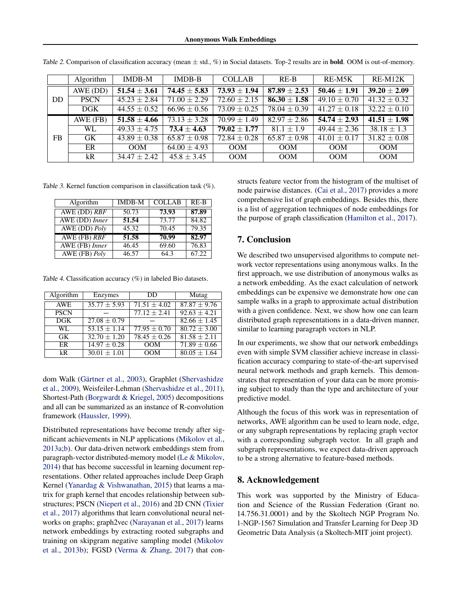Anonymous Walk Embeddings

|           | Algorithm   | <b>IMDB-M</b>               | $IMDB-B$         | <b>COLLAB</b>    | $RE-B$           | RE-M5K           | $RE-M12K$        |
|-----------|-------------|-----------------------------|------------------|------------------|------------------|------------------|------------------|
| <b>DD</b> | AWE (DD)    | $\overline{51.54 \pm 3.61}$ | $74.45 \pm 5.83$ | $73.93 \pm 1.94$ | $87.89 + 2.53$   | $50.46 \pm 1.91$ | $39.20 \pm 2.09$ |
|           | <b>PSCN</b> | $45.23 \pm 2.84$            | $71.00 \pm 2.29$ | $72.60 \pm 2.15$ | $86.30 \pm 1.58$ | $49.10 \pm 0.70$ | $41.32 \pm 0.32$ |
|           | DGK         | $44.55 \pm 0.52$            | $66.96 \pm 0.56$ | $73.09 \pm 0.25$ | $78.04 \pm 0.39$ | $41.27 \pm 0.18$ | $32.22 \pm 0.10$ |
| FB.       | AWE (FB)    | $51.58 \pm 4.66$            | $73.13 \pm 3.28$ | $70.99 \pm 1.49$ | $82.97 + 2.86$   | $54.74 \pm 2.93$ | $41.51 \pm 1.98$ |
|           | <b>WL</b>   | $49.33 \pm 4.75$            | $73.4 \pm 4.63$  | $79.02 \pm 1.77$ | $81.1 \pm 1.9$   | $49.44 \pm 2.36$ | $38.18 \pm 1.3$  |
|           | <b>GK</b>   | $\sqrt{43.89 \pm 0.38}$     | $65.87 \pm 0.98$ | $72.84 \pm 0.28$ | $65.87 \pm 0.98$ | $41.01 \pm 0.17$ | $31.82 \pm 0.08$ |
|           | ER          | OM                          | $64.00 \pm 4.93$ | OM               | OOM              | <b>OOM</b>       | <b>OOM</b>       |
|           | kR          | $34.47 \pm 2.42$            | $45.8 \pm 3.45$  | <b>OOM</b>       | OOM              | <b>OOM</b>       | <b>OOM</b>       |

<span id="page-7-0"></span>Table 2. Comparison of classification accuracy (mean  $\pm$  std., %) in Social datasets. Top-2 results are in **bold**. OOM is out-of-memory.

Table 3. Kernel function comparison in classification task (%).

| Algorithm                         | <b>IMDB-M</b> | <b>COLLAB</b> | $RE-B$ |
|-----------------------------------|---------------|---------------|--------|
| AWE (DD) RBF                      | 50.73         | 73.93         | 87.89  |
| AWE (DD) Inner                    | 51.54         | 73.77         | 84.82  |
| AWE (DD) Poly                     | 45.32         | 70.45         | 79.35  |
| AWE (FB) RBF                      | 51.58         | 70.99         | 82.97  |
| <b>AWE</b> (FB) Inner             | 46.45         | 69.60         | 76.83  |
| $\overline{\text{AWE (FB) Poly}}$ | 46.57         | 64.3          | 67.22  |

Table 4. Classification accuracy (%) in labeled Bio datasets.

| Algorithm   | Enzymes          | DD               | Mutag                       |  |
|-------------|------------------|------------------|-----------------------------|--|
| <b>AWE</b>  | $35.77 \pm 5.93$ | $71.51 \pm 4.02$ | $87.87 \pm 9.76$            |  |
| <b>PSCN</b> |                  | $77.12 + 2.41$   | $\overline{92.63 \pm 4.21}$ |  |
| DGK         | $27.08 \pm 0.79$ |                  | $82.66 \pm 1.45$            |  |
| WL.         | $53.15 + 1.14$   | $77.95 \pm 0.70$ | $80.72 \pm 3.00$            |  |
| <b>GK</b>   | $32.70 \pm 1.20$ | $78.45 \pm 0.26$ | $81.58 \pm 2.11$            |  |
| ER          | $14.97 \pm 0.28$ | OM               | $71.89 \pm 0.66$            |  |
| kR          | $30.01 \pm 1.01$ | OOM              | $80.05 \pm 1.64$            |  |

dom Walk (Gärtner et al., [2003\)](#page-8-0), Graphlet [\(Shervashidze](#page-8-0) [et al.,](#page-8-0) [2009\)](#page-8-0), Weisfeiler-Lehman [\(Shervashidze et al.,](#page-9-0) [2011\)](#page-9-0), Shortest-Path [\(Borgwardt & Kriegel,](#page-8-0) [2005\)](#page-8-0) decompositions and all can be summarized as an instance of R-convolution framework [\(Haussler,](#page-8-0) [1999\)](#page-8-0).

Distributed representations have become trendy after significant achievements in NLP applications [\(Mikolov et al.,](#page-8-0) [2013a;b\)](#page-8-0). Our data-driven network embeddings stem from paragraph-vector distributed-memory model [\(Le & Mikolov,](#page-8-0) [2014\)](#page-8-0) that has become successful in learning document representations. Other related approaches include Deep Graph Kernel [\(Yanardag & Vishwanathan,](#page-9-0) [2015\)](#page-9-0) that learns a matrix for graph kernel that encodes relationship between substructures; PSCN [\(Niepert et al.,](#page-8-0) [2016\)](#page-8-0) and 2D CNN [\(Tixier](#page-9-0) [et al.,](#page-9-0) [2017\)](#page-9-0) algorithms that learn convolutional neural networks on graphs; graph2vec [\(Narayanan et al.,](#page-8-0) [2017\)](#page-8-0) learns network embeddings by extracting rooted subgraphs and training on skipgram negative sampling model [\(Mikolov](#page-8-0) [et al.,](#page-8-0) [2013b\)](#page-8-0); FGSD [\(Verma & Zhang,](#page-9-0) [2017\)](#page-9-0) that constructs feature vector from the histogram of the multiset of node pairwise distances. [\(Cai et al.,](#page-8-0) [2017\)](#page-8-0) provides a more comprehensive list of graph embeddings. Besides this, there is a list of aggregation techniques of node embeddings for the purpose of graph classification [\(Hamilton et al.,](#page-8-0) [2017\)](#page-8-0).

# 7. Conclusion

We described two unsupervised algorithms to compute network vector representations using anonymous walks. In the first approach, we use distribution of anonymous walks as a network embedding. As the exact calculation of network embeddings can be expensive we demonstrate how one can sample walks in a graph to approximate actual distribution with a given confidence. Next, we show how one can learn distributed graph representations in a data-driven manner, similar to learning paragraph vectors in NLP.

In our experiments, we show that our network embeddings even with simple SVM classifier achieve increase in classification accuracy comparing to state-of-the-art supervised neural network methods and graph kernels. This demonstrates that representation of your data can be more promising subject to study than the type and architecture of your predictive model.

Although the focus of this work was in representation of networks, AWE algorithm can be used to learn node, edge, or any subgraph representations by replacing graph vector with a corresponding subgraph vector. In all graph and subgraph representations, we expect data-driven approach to be a strong alternative to feature-based methods.

# 8. Acknowledgement

This work was supported by the Ministry of Education and Science of the Russian Federation (Grant no. 14.756.31.0001) and by the Skoltech NGP Program No. 1-NGP-1567 Simulation and Transfer Learning for Deep 3D Geometric Data Analysis (a Skoltech-MIT joint project).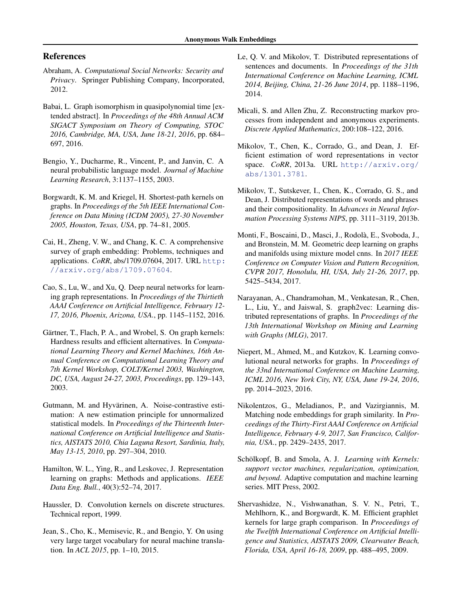## <span id="page-8-0"></span>References

- Abraham, A. *Computational Social Networks: Security and Privacy*. Springer Publishing Company, Incorporated, 2012.
- Babai, L. Graph isomorphism in quasipolynomial time [extended abstract]. In *Proceedings of the 48th Annual ACM SIGACT Symposium on Theory of Computing, STOC 2016, Cambridge, MA, USA, June 18-21, 2016*, pp. 684– 697, 2016.
- Bengio, Y., Ducharme, R., Vincent, P., and Janvin, C. A neural probabilistic language model. *Journal of Machine Learning Research*, 3:1137–1155, 2003.
- Borgwardt, K. M. and Kriegel, H. Shortest-path kernels on graphs. In *Proceedings of the 5th IEEE International Conference on Data Mining (ICDM 2005), 27-30 November 2005, Houston, Texas, USA*, pp. 74–81, 2005.
- Cai, H., Zheng, V. W., and Chang, K. C. A comprehensive survey of graph embedding: Problems, techniques and applications. *CoRR*, abs/1709.07604, 2017. URL [http:](http://arxiv.org/abs/1709.07604) [//arxiv.org/abs/1709.07604](http://arxiv.org/abs/1709.07604).
- Cao, S., Lu, W., and Xu, Q. Deep neural networks for learning graph representations. In *Proceedings of the Thirtieth AAAI Conference on Artificial Intelligence, February 12- 17, 2016, Phoenix, Arizona, USA.*, pp. 1145–1152, 2016.
- Gärtner, T., Flach, P. A., and Wrobel, S. On graph kernels: Hardness results and efficient alternatives. In *Computational Learning Theory and Kernel Machines, 16th Annual Conference on Computational Learning Theory and 7th Kernel Workshop, COLT/Kernel 2003, Washington, DC, USA, August 24-27, 2003, Proceedings*, pp. 129–143, 2003.
- Gutmann, M. and Hyvärinen, A. Noise-contrastive estimation: A new estimation principle for unnormalized statistical models. In *Proceedings of the Thirteenth International Conference on Artificial Intelligence and Statistics, AISTATS 2010, Chia Laguna Resort, Sardinia, Italy, May 13-15, 2010*, pp. 297–304, 2010.
- Hamilton, W. L., Ying, R., and Leskovec, J. Representation learning on graphs: Methods and applications. *IEEE Data Eng. Bull.*, 40(3):52–74, 2017.
- Haussler, D. Convolution kernels on discrete structures. Technical report, 1999.
- Jean, S., Cho, K., Memisevic, R., and Bengio, Y. On using very large target vocabulary for neural machine translation. In *ACL 2015*, pp. 1–10, 2015.
- Le, Q. V. and Mikolov, T. Distributed representations of sentences and documents. In *Proceedings of the 31th International Conference on Machine Learning, ICML 2014, Beijing, China, 21-26 June 2014*, pp. 1188–1196, 2014.
- Micali, S. and Allen Zhu, Z. Reconstructing markov processes from independent and anonymous experiments. *Discrete Applied Mathematics*, 200:108–122, 2016.
- Mikolov, T., Chen, K., Corrado, G., and Dean, J. Efficient estimation of word representations in vector space. *CoRR*, 2013a. URL [http://arxiv.org/](http://arxiv.org/abs/1301.3781) [abs/1301.3781](http://arxiv.org/abs/1301.3781).
- Mikolov, T., Sutskever, I., Chen, K., Corrado, G. S., and Dean, J. Distributed representations of words and phrases and their compositionality. In *Advances in Neural Information Processing Systems NIPS*, pp. 3111–3119, 2013b.
- Monti, F., Boscaini, D., Masci, J., Rodola, E., Svoboda, J., ` and Bronstein, M. M. Geometric deep learning on graphs and manifolds using mixture model cnns. In *2017 IEEE Conference on Computer Vision and Pattern Recognition, CVPR 2017, Honolulu, HI, USA, July 21-26, 2017*, pp. 5425–5434, 2017.
- Narayanan, A., Chandramohan, M., Venkatesan, R., Chen, L., Liu, Y., and Jaiswal, S. graph2vec: Learning distributed representations of graphs. In *Proceedings of the 13th International Workshop on Mining and Learning with Graphs (MLG)*, 2017.
- Niepert, M., Ahmed, M., and Kutzkov, K. Learning convolutional neural networks for graphs. In *Proceedings of the 33nd International Conference on Machine Learning, ICML 2016, New York City, NY, USA, June 19-24, 2016*, pp. 2014–2023, 2016.
- Nikolentzos, G., Meladianos, P., and Vazirgiannis, M. Matching node embeddings for graph similarity. In *Proceedings of the Thirty-First AAAI Conference on Artificial Intelligence, February 4-9, 2017, San Francisco, California, USA.*, pp. 2429–2435, 2017.
- Schölkopf, B. and Smola, A. J. *Learning with Kernels: support vector machines, regularization, optimization, and beyond*. Adaptive computation and machine learning series. MIT Press, 2002.
- Shervashidze, N., Vishwanathan, S. V. N., Petri, T., Mehlhorn, K., and Borgwardt, K. M. Efficient graphlet kernels for large graph comparison. In *Proceedings of the Twelfth International Conference on Artificial Intelligence and Statistics, AISTATS 2009, Clearwater Beach, Florida, USA, April 16-18, 2009*, pp. 488–495, 2009.